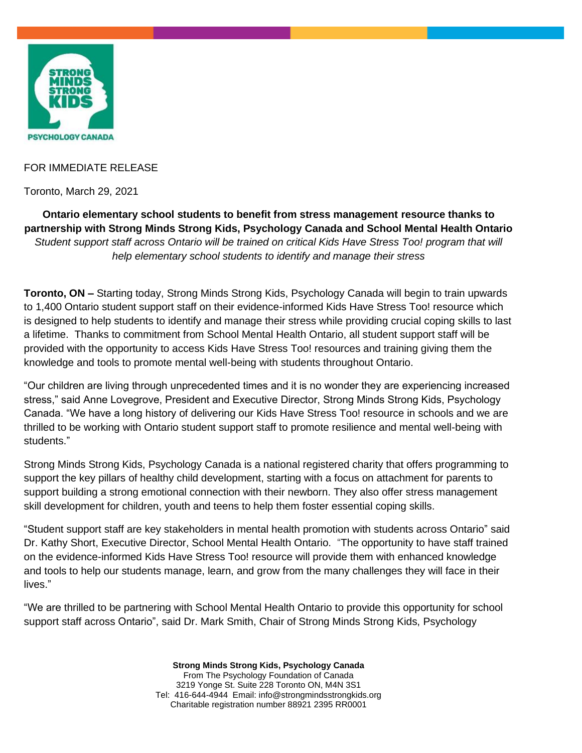

## FOR IMMEDIATE RELEASE

Toronto, March 29, 2021

**Ontario elementary school students to benefit from stress management resource thanks to partnership with Strong Minds Strong Kids, Psychology Canada and School Mental Health Ontario** *Student support staff across Ontario will be trained on critical Kids Have Stress Too! program that will help elementary school students to identify and manage their stress*

**Toronto, ON –** Starting today, Strong Minds Strong Kids, Psychology Canada will begin to train upwards to 1,400 Ontario student support staff on their evidence-informed Kids Have Stress Too! resource which is designed to help students to identify and manage their stress while providing crucial coping skills to last a lifetime. Thanks to commitment from School Mental Health Ontario, all student support staff will be provided with the opportunity to access Kids Have Stress Too! resources and training giving them the knowledge and tools to promote mental well-being with students throughout Ontario.

"Our children are living through unprecedented times and it is no wonder they are experiencing increased stress," said Anne Lovegrove, President and Executive Director, Strong Minds Strong Kids, Psychology Canada. "We have a long history of delivering our Kids Have Stress Too! resource in schools and we are thrilled to be working with Ontario student support staff to promote resilience and mental well-being with students."

Strong Minds Strong Kids, Psychology Canada is a national registered charity that offers programming to support the key pillars of healthy child development, starting with a focus on attachment for parents to support building a strong emotional connection with their newborn. They also offer stress management skill development for children, youth and teens to help them foster essential coping skills.

"Student support staff are key stakeholders in mental health promotion with students across Ontario" said Dr. Kathy Short, Executive Director, School Mental Health Ontario. "The opportunity to have staff trained on the evidence-informed Kids Have Stress Too! resource will provide them with enhanced knowledge and tools to help our students manage, learn, and grow from the many challenges they will face in their lives."

"We are thrilled to be partnering with School Mental Health Ontario to provide this opportunity for school support staff across Ontario", said Dr. Mark Smith, Chair of Strong Minds Strong Kids, Psychology

> **Strong Minds Strong Kids, Psychology Canada** From The Psychology Foundation of Canada 3219 Yonge St. Suite 228 Toronto ON, M4N 3S1 Tel: 416-644-4944 Email: info@strongmindsstrongkids.org Charitable registration number 88921 2395 RR0001